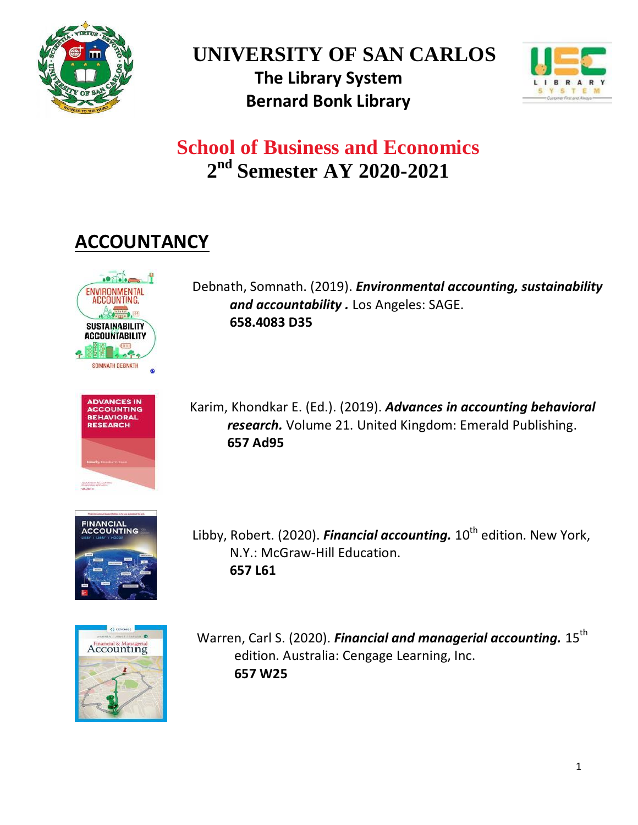

**UNIVERSITY OF SAN CARLOS The Library System Bernard Bonk Library**



# **School of Business and Economics 2 nd Semester AY 2020-2021**

## **ACCOUNTANCY**



Debnath, Somnath. (2019). *[Environmental accounting, sustainability](http://library.usc.edu.ph:8080/#section=resource&resourceid=588378042¤tIndex=1&view=fullDetailsDetailsTab) [and accountability .](http://library.usc.edu.ph:8080/#section=resource&resourceid=588378042¤tIndex=1&view=fullDetailsDetailsTab)* Los Angeles: SAGE. **658.4083 D35**



Karim, Khondkar E. (Ed.). (2019). *[Advances in accounting behavioral](http://library.usc.edu.ph:8080/#section=resource&resourceid=536342182¤tIndex=0&view=fullDetailsDetailsTab)  research.* [Volume 21. United Kingdom: Emerald Publishing.](http://library.usc.edu.ph:8080/#section=resource&resourceid=536342182¤tIndex=0&view=fullDetailsDetailsTab) **657 Ad95**



Libby, Robert. (2020). *Financial accounting.* 10<sup>th</sup> edition. New York, N.Y.: McGraw-Hill Education. **657 L61**



Warren, Carl S. (2020). *[Financial and managerial accounting.](http://library.usc.edu.ph:8080/#section=resource&resourceid=533132699¤tIndex=0&view=fullDetailsDetailsTab)* 15<sup>th</sup> edition. Australia: Cengage Learning, Inc. **657 W25**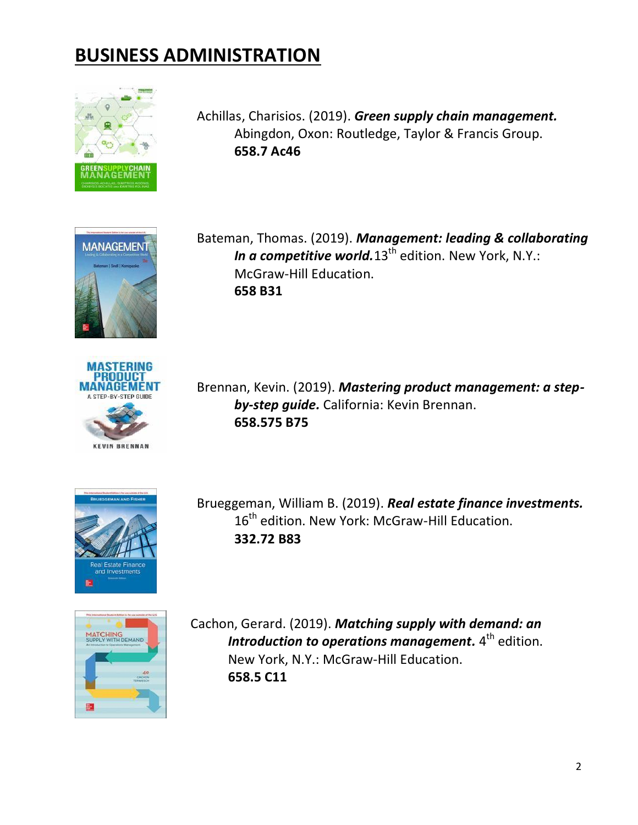### **BUSINESS ADMINISTRATION**



Achillas, Charisios. (2019). *[Green supply chain management.](http://library.usc.edu.ph:8080/#section=resource&resourceid=533596469¤tIndex=0&view=fullDetailsDetailsTab)* Abingdon, Oxon: Routledge, Taylor & Francis Group. **658.7 Ac46**



Bateman, Thomas. (2019). *[Management: leading & collaborating](http://library.usc.edu.ph:8080/#section=resource&resourceid=587698598¤tIndex=0&view=fullDetailsDetailsTab) [In a competitive world.](http://library.usc.edu.ph:8080/#section=resource&resourceid=587698598¤tIndex=0&view=fullDetailsDetailsTab)*13<sup>th</sup> edition. New York, N.Y.: McGraw-Hill Education. **658 B31**



Brennan, Kevin. (2019). *[Mastering product management: a step](http://library.usc.edu.ph:8080/#section=resource&resourceid=537599307¤tIndex=0&view=fullDetailsDetailsTab)[by-step guide.](http://library.usc.edu.ph:8080/#section=resource&resourceid=537599307¤tIndex=0&view=fullDetailsDetailsTab)* California: Kevin Brennan. **658.575 B75**



Brueggeman, William B. (2019). *[Real estate finance investments.](http://library.usc.edu.ph:8080/#section=resource&resourceid=581364264¤tIndex=0&view=fullDetailsDetailsTab)* 16<sup>th</sup> edition. New York: McGraw-Hill Education. **332.72 B83**



Cachon, Gerard. (2019). *[Matching supply with demand: an](http://library.usc.edu.ph:8080/#section=resource&resourceid=540428505¤tIndex=2&view=fullDetailsDetailsTab)* [Introduction to operations management.](http://library.usc.edu.ph:8080/#section=resource&resourceid=540428505¤tIndex=2&view=fullDetailsDetailsTab)  $4^{\text{th}}$  edition. New York, N.Y.: McGraw-Hill Education. **658.5 C11**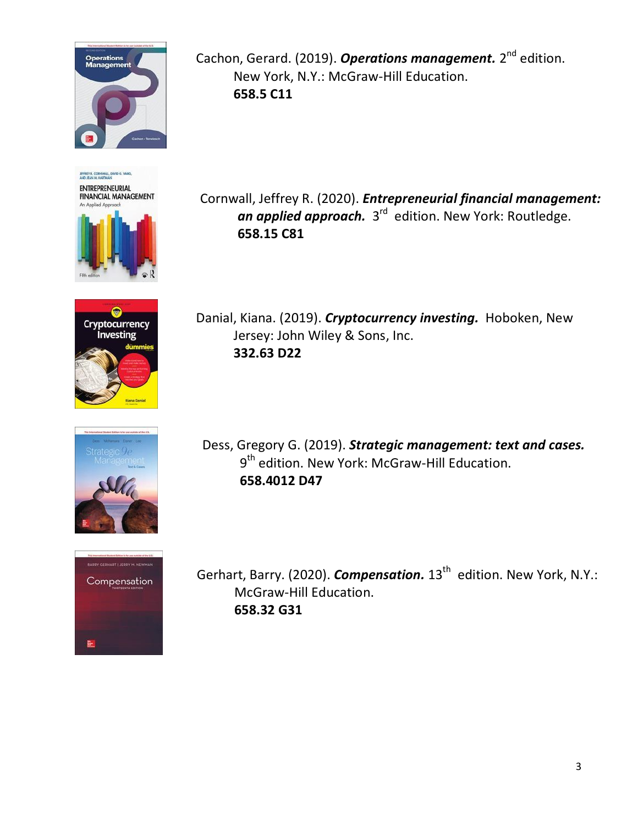

ENTREPRENEURIAL **FINANCIAL MANAGEMENT** 









Cachon, Gerard. (2019). **[Operations management.](http://library.usc.edu.ph:8080/#section=resource&resourceid=587694810¤tIndex=4&view=fullDetailsDetailsTab)** 2<sup>nd</sup> edition. New York, N.Y.: McGraw-Hill Education. **658.5 C11** 

Cornwall, Jeffrey R. (2020). *[Entrepreneurial financial management:](http://library.usc.edu.ph:8080/#section=resource&resourceid=541577964¤tIndex=0&view=fullDetailsDetailsTab) an applied approach.* 3<sup>rd</sup> [edition. New York: Routledge.](http://library.usc.edu.ph:8080/#section=resource&resourceid=541577964¤tIndex=0&view=fullDetailsDetailsTab) **[658.15 C81](http://library.usc.edu.ph:8080/#section=resource&resourceid=541577964¤tIndex=0&view=fullDetailsDetailsTab)**

Danial, Kiana. (2019). *[Cryptocurrency investing.](http://library.usc.edu.ph:8080/#section=resource&resourceid=587926036¤tIndex=0&view=fullDetailsDetailsTab)* Hoboken, New Jersey: John Wiley & Sons, Inc. **332.63 D22**

Dess, Gregory G. (2019). *[Strategic management: text and cases.](http://library.usc.edu.ph:8080/#section=resource&resourceid=579780693¤tIndex=0&view=fullDetailsDetailsTab)* 9<sup>th</sup> edition. New York: McGraw-Hill Education. **658.4012 D47**

Gerhart, Barry. (2020). *[Compensation.](http://library.usc.edu.ph:8080/#section=resource&resourceid=579777644¤tIndex=0&view=fullDetailsDetailsTab)* 13<sup>th</sup> edition. New York, N.Y.: McGraw-Hill Education. **658.32 G31**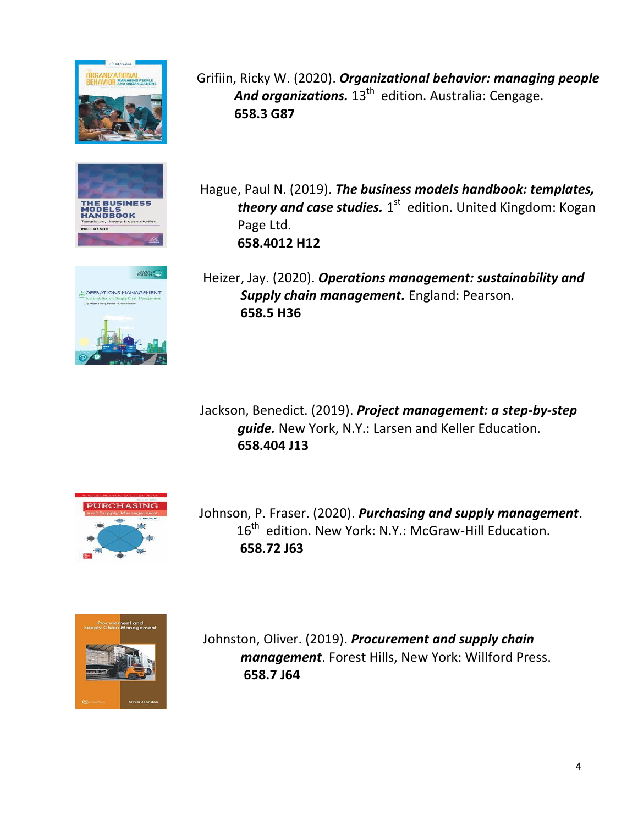





Grifiin, Ricky W. (2020). *[Organizational behavior: managing people](http://library.usc.edu.ph:8080/#section=resource&resourceid=478482704¤tIndex=1&view=fullDetailsDetailsTab)* And organizations. 13<sup>th</sup> [edition. Australia: Cengage.](http://library.usc.edu.ph:8080/#section=resource&resourceid=478482704¤tIndex=1&view=fullDetailsDetailsTab) **658.3 G87**

Hague, Paul N. (2019). *[The business models handbook: templates,](http://library.usc.edu.ph:8080/#section=resource&resourceid=541573514¤tIndex=0&view=fullDetailsDetailsTab) [theory and case studies.](http://library.usc.edu.ph:8080/#section=resource&resourceid=541573514¤tIndex=0&view=fullDetailsDetailsTab)*  $1^\text{st}$  edition. United Kingdom: Kogan Page Ltd. **658.4012 H12**

Heizer, Jay. (2020). *[Operations management: sustainability and](http://library.usc.edu.ph:8080/#section=resource&resourceid=578298230¤tIndex=0&view=fullDetailsDetailsTab)  [Supply chain management.](http://library.usc.edu.ph:8080/#section=resource&resourceid=578298230¤tIndex=0&view=fullDetailsDetailsTab)* England: Pearson. **658.5 H36**

Jackson, Benedict. (2019). *[Project management: a step-by-step](http://library.usc.edu.ph:8080/#section=resource&resourceid=592923769¤tIndex=0&view=fullDetailsDetailsTab) guide.* [New York, N.Y.: Larsen and Keller Education.](http://library.usc.edu.ph:8080/#section=resource&resourceid=592923769¤tIndex=0&view=fullDetailsDetailsTab) **658.404 J13**



Johnson, P. Fraser. (2020). *[Purchasing and supply management](http://library.usc.edu.ph:8080/#section=resource&resourceid=589511693¤tIndex=0&view=fullDetailsDetailsTab)*. 16<sup>th</sup> edition. New York: N.Y.: McGraw-Hill Education. **658.72 J63**



Johnston, Oliver. (2019). *[Procurement and supply chain](http://library.usc.edu.ph:8080/#section=resource&resourceid=544748527¤tIndex=0&view=fullDetailsDetailsTab)  management*[. Forest Hills, New York: Willford Press.](http://library.usc.edu.ph:8080/#section=resource&resourceid=544748527¤tIndex=0&view=fullDetailsDetailsTab) **658.7 J64**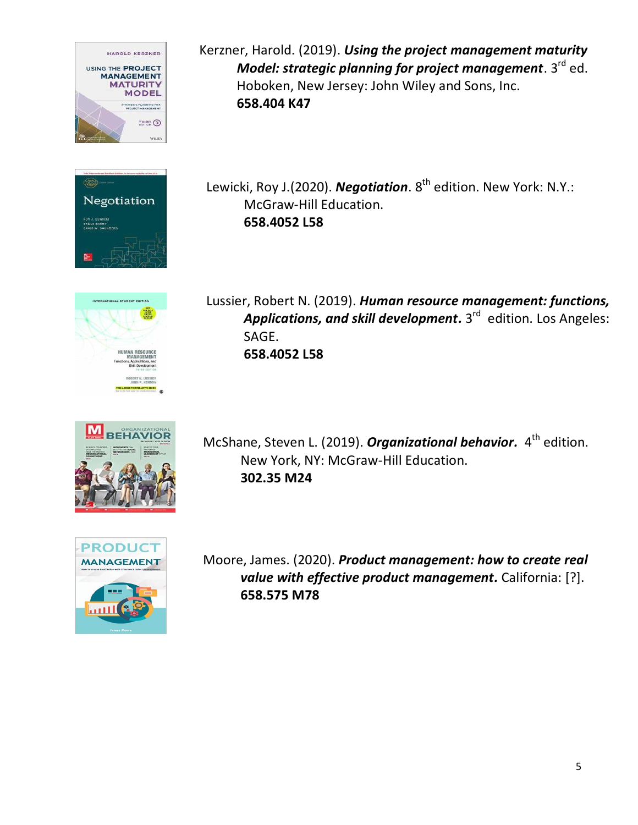



Lewicki, Roy J.(2020). *[Negotiation](http://library.usc.edu.ph:8080/#section=resource&resourceid=535884866¤tIndex=0&view=fullDetailsDetailsTab)*. 8<sup>th</sup> edition. New York: N.Y.: McGraw-Hill Education. **658.4052 L58**

Kerzner, Harold. (2019). *[Using the project management maturity](http://library.usc.edu.ph:8080/#section=resource&resourceid=535203015¤tIndex=1&view=fullDetailsDetailsTab)* 

Hoboken, New Jersey: John Wiley and Sons, Inc.

**658.404 K47**

*[Model: strategic planning for project management](http://library.usc.edu.ph:8080/#section=resource&resourceid=535203015¤tIndex=1&view=fullDetailsDetailsTab)***. 3<sup>rd</sup> ed.** 



Lussier, Robert N. (2019). *[Human resource management: functions,](http://library.usc.edu.ph:8080/#section=resource&resourceid=544748549¤tIndex=0&view=fullDetailsDetailsTab)* **[Applications, and skill development.](http://library.usc.edu.ph:8080/#section=resource&resourceid=544748549¤tIndex=0&view=fullDetailsDetailsTab)** 3<sup>rd</sup> edition. Los Angeles: SAGE. **658.4052 L58**



McShane, Steven L. (2019). *Organizational behavior*. 4<sup>th</sup> edition. New York, NY: McGraw-Hill Education. **302.35 M24**



Moore, James. (2020). *[Product management: how to create real](http://library.usc.edu.ph:8080/#section=resource&resourceid=537598946¤tIndex=0&view=fullDetailsDetailsTab)  [value with effective product management.](http://library.usc.edu.ph:8080/#section=resource&resourceid=537598946¤tIndex=0&view=fullDetailsDetailsTab)* California: [?]. **658.575 M78**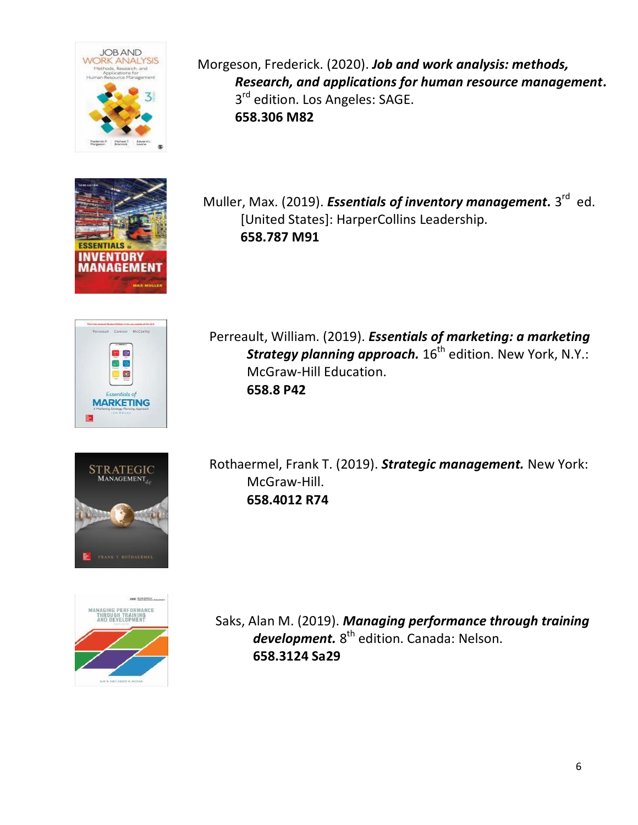



Cannon OB. ු ප  $\bullet$ **MARKETING** 



Muller, Max. (2019). *[Essentials of inventory management.](http://library.usc.edu.ph:8080/#section=resource&resourceid=593272940¤tIndex=0&view=fullDetailsDetailsTab)* 3<sup>rd</sup> ed. [United States]: HarperCollins Leadership. **658.787 M91**



Perreault, William. (2019). *[Essentials of marketing: a marketing](http://library.usc.edu.ph:8080/#section=resource&resourceid=535889566¤tIndex=0&view=fullDetailsDetailsTab) [Strategy planning approach.](http://library.usc.edu.ph:8080/#section=resource&resourceid=535889566¤tIndex=0&view=fullDetailsDetailsTab)* 16<sup>th</sup> edition. New York, N.Y.: McGraw-Hill Education. **658.8 P42**





Rothaermel, Frank T. (2019). *[Strategic management.](http://library.usc.edu.ph:8080/#section=resource&resourceid=541573564¤tIndex=11&view=fullDetailsDetailsTab)* New York: [McGraw-Hill.](http://library.usc.edu.ph:8080/#section=resource&resourceid=541573564¤tIndex=11&view=fullDetailsDetailsTab) **658.4012 R74**

Saks, Alan M. (2019). *[Managing performance through training](http://library.usc.edu.ph:8080/#section=resource&resourceid=535205880¤tIndex=1&view=fullDetailsDetailsTab)* development. 8<sup>th</sup> [edition. Canada: Nelson.](http://library.usc.edu.ph:8080/#section=resource&resourceid=535205880¤tIndex=1&view=fullDetailsDetailsTab) **658.3124 Sa29**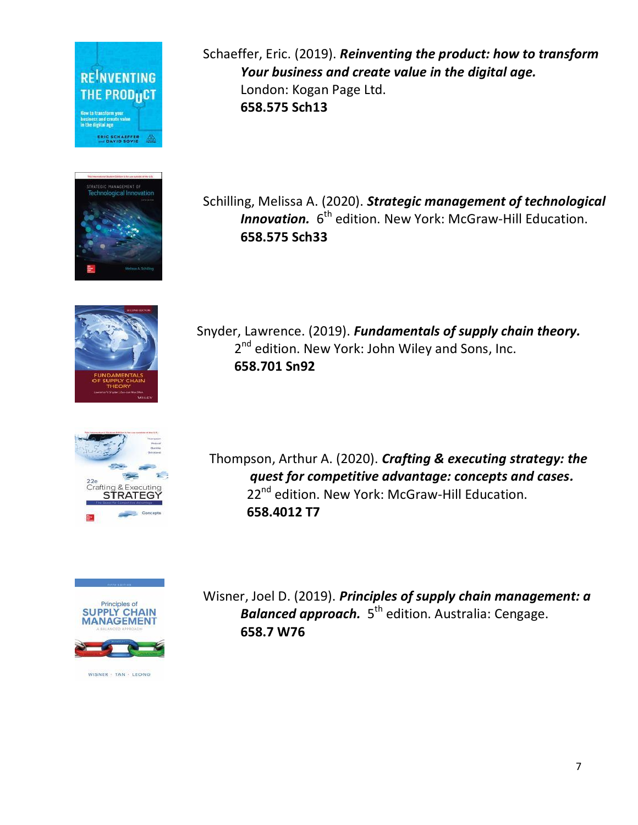



Schaeffer, Eric. (2019). *[Reinventing the product: how to transform](http://library.usc.edu.ph:8080/#section=resource&resourceid=543398866¤tIndex=0&view=fullDetailsDetailsTab) [Your business and create value in the digital age.](http://library.usc.edu.ph:8080/#section=resource&resourceid=543398866¤tIndex=0&view=fullDetailsDetailsTab)* [London: Kogan Page Ltd.](http://library.usc.edu.ph:8080/#section=resource&resourceid=543398866¤tIndex=0&view=fullDetailsDetailsTab) **658.575 Sch13**

Schilling, Melissa A. (2020). *[Strategic management of technological](http://library.usc.edu.ph:8080/#section=resource&resourceid=579778075¤tIndex=1&view=fullDetailsDetailsTab)* [Innovation.](http://library.usc.edu.ph:8080/#section=resource&resourceid=579778075¤tIndex=1&view=fullDetailsDetailsTab) 6<sup>th</sup> edition. New York: McGraw-Hill Education. **658.575 Sch33**



Snyder, Lawrence. (2019). *[Fundamentals of supply chain theory.](http://library.usc.edu.ph:8080/#section=resource&resourceid=577169897¤tIndex=0&view=fullDetailsDetailsTab)* 2<sup>nd</sup> edition. New York: John Wiley and Sons, Inc. **658.701 Sn92**



Thompson, Arthur A. (2020). *[Crafting & executing strategy: the](http://library.usc.edu.ph:8080/#section=resource&resourceid=541573843¤tIndex=0&view=fullDetailsDetailsTab) [quest for competitive advantage: concepts and cases.](http://library.usc.edu.ph:8080/#section=resource&resourceid=541573843¤tIndex=0&view=fullDetailsDetailsTab)*  22<sup>nd</sup> edition. New York: McGraw-Hill Education. **658.4012 T7**



WISNER - TAN - LEONG

Wisner, Joel D. (2019). *[Principles of supply chain management: a](http://library.usc.edu.ph:8080/#section=resource&resourceid=578528585¤tIndex=0&view=fullDetailsDetailsTab)*  [Balanced approach.](http://library.usc.edu.ph:8080/#section=resource&resourceid=578528585¤tIndex=0&view=fullDetailsDetailsTab) 5<sup>th</sup> edition. Australia: Cengage. **658.7 W76**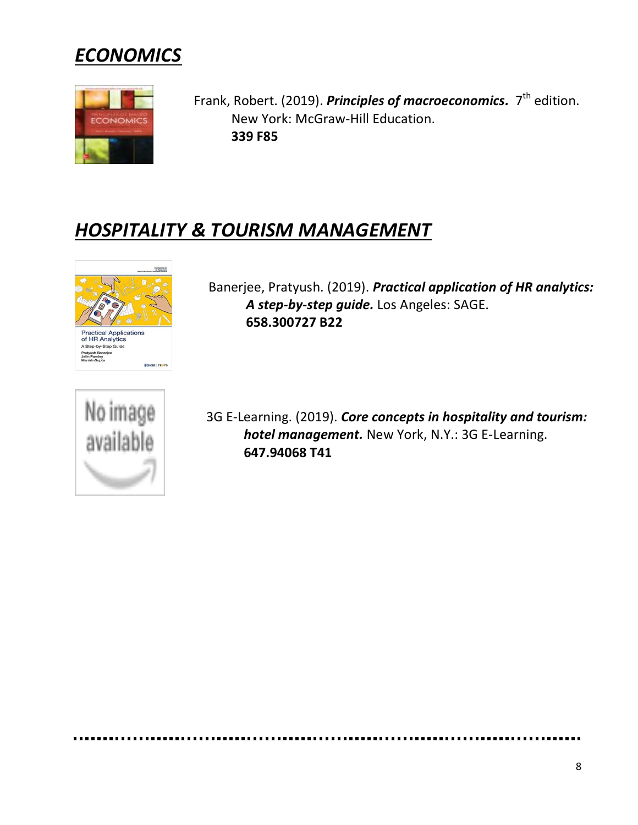



Frank, Robert. (2019). *[Principles of macroeconomics.](http://library.usc.edu.ph:8080/#section=resource&resourceid=540882138¤tIndex=0&view=fullDetailsDetailsTab)* 7<sup>th</sup> edition. New York: McGraw-Hill Education. **339 F85**

#### *HOSPITALITY & TOURISM MANAGEMENT*



Banerjee, Pratyush. (2019). *[Practical application of HR analytics:](http://library.usc.edu.ph:8080/#section=resource&resourceid=588379602¤tIndex=0&view=fullDetailsDetailsTab) [A step-by-step guide.](http://library.usc.edu.ph:8080/#section=resource&resourceid=588379602¤tIndex=0&view=fullDetailsDetailsTab)* Los Angeles: SAGE. **658.300727 B22**



3G E-Learning. (2019). *[Core concepts in hospitality and tourism:](http://library.usc.edu.ph:8080/#section=resource&resourceid=541342338¤tIndex=1&view=fullDetailsDetailsTab)  [hotel management.](http://library.usc.edu.ph:8080/#section=resource&resourceid=541342338¤tIndex=1&view=fullDetailsDetailsTab)* New York, N.Y.: 3G E-Learning. **647.94068 T41**